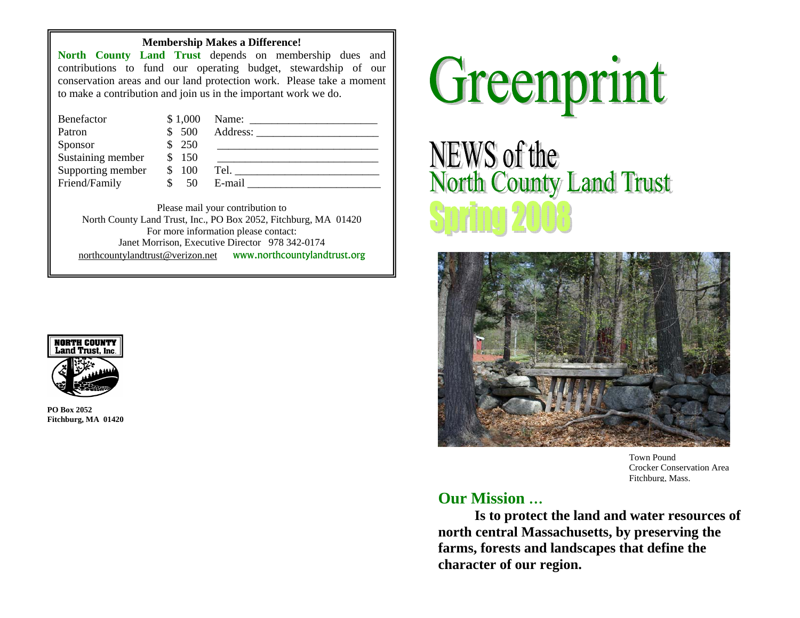#### **Membership Makes a Difference!**

**North County Land Trust** depends on membership dues and contributions to fund our operating budget, stewardship of our conservation areas and our land protection work. Please take a moment to make a contribution and join us in the important work we do.

| Benefactor        | \$1,000 | Name:                                                                                                                                                                                                                          |
|-------------------|---------|--------------------------------------------------------------------------------------------------------------------------------------------------------------------------------------------------------------------------------|
| Patron            | 500     |                                                                                                                                                                                                                                |
| Sponsor           | - 250   |                                                                                                                                                                                                                                |
| Sustaining member | 150     |                                                                                                                                                                                                                                |
| Supporting member | 100     | Tel. The contract of the contract of the contract of the contract of the contract of the contract of the contract of the contract of the contract of the contract of the contract of the contract of the contract of the contr |
| Friend/Family     | 50      | E-mail                                                                                                                                                                                                                         |

Please mail your contribution to North County Land Trust, Inc., PO Box 2052, Fitchburg, MA 01420 For more information please contact: Janet Morrison, Executive Director 978 342-0174 [northcountylandtrust@verizon.net](mailto:northcountylandtrust@verizon.net) www.northcountylandtrust.org



**PO Box 2052 Fitchburg, MA 01420** 



**NEWS of the North County Land Trust** 



Town Pound Crocker Conservation Area Fitchburg, Mass.

# **Our Mission …**

**Is to protect the land and water resources of north central Massachusetts, by preserving the farms, forests and landscapes that define the character of our region.**